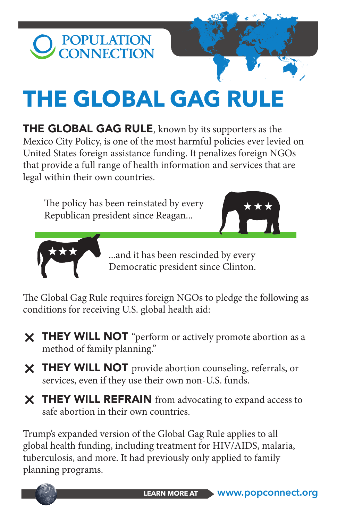

## **THE GLOBAL GAG RULE**

**THE GLOBAL GAG RULE**, known by its supporters as the Mexico City Policy, is one of the most harmful policies ever levied on United States foreign assistance funding. It penalizes foreign NGOs that provide a full range of health information and services that are legal within their own countries.

The policy has been reinstated by every Republican president since Reagan...





...and it has been rescinded by every Democratic president since Clinton.

The Global Gag Rule requires foreign NGOs to pledge the following as conditions for receiving U.S. global health aid:

- X THEY WILL NOT "perform or actively promote abortion as a method of family planning."
- X THEY WILL NOT provide abortion counseling, referrals, or services, even if they use their own non-U.S. funds.
- X THEY WILL REFRAIN from advocating to expand access to safe abortion in their own countries.

Trump's expanded version of the Global Gag Rule applies to all global health funding, including treatment for HIV/AIDS, malaria, tuberculosis, and more. It had previously only applied to family planning programs.